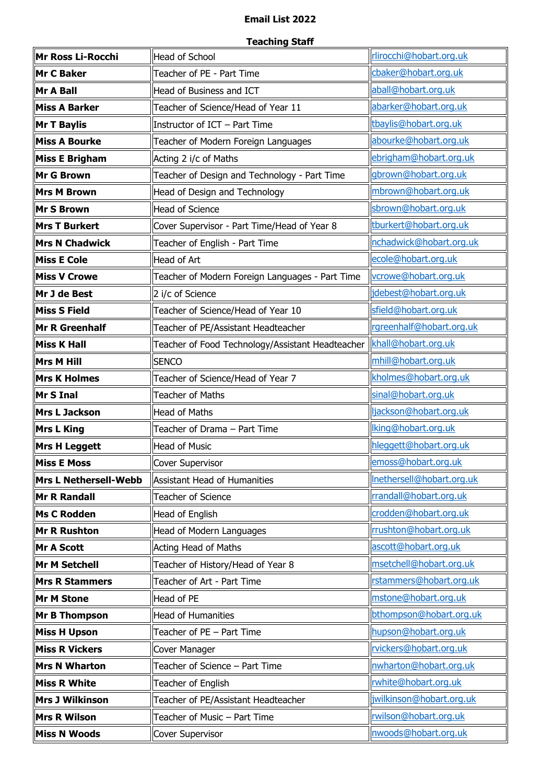## **Email List 2022**

## **Teaching Staff**

| Mr Ross Li-Rocchi            | <b>Head of School</b>                            | rlirocchi@hobart.org.uk   |
|------------------------------|--------------------------------------------------|---------------------------|
| Mr C Baker                   | Teacher of PE - Part Time                        | cbaker@hobart.org.uk      |
| Mr A Ball                    | Head of Business and ICT                         | aball@hobart.org.uk       |
| <b>Miss A Barker</b>         | Teacher of Science/Head of Year 11               | abarker@hobart.org.uk     |
| <b>Mr T Baylis</b>           | Instructor of ICT - Part Time                    | tbaylis@hobart.org.uk     |
| <b>Miss A Bourke</b>         | Teacher of Modern Foreign Languages              | abourke@hobart.org.uk     |
| <b>Miss E Brigham</b>        | Acting 2 i/c of Maths                            | ebrigham@hobart.org.uk    |
| <b>Mr G Brown</b>            | Teacher of Design and Technology - Part Time     | gbrown@hobart.org.uk      |
| <b>Mrs M Brown</b>           | Head of Design and Technology                    | mbrown@hobart.org.uk      |
| <b>Mr S Brown</b>            | Head of Science                                  | sbrown@hobart.org.uk      |
| <b>Mrs T Burkert</b>         | Cover Supervisor - Part Time/Head of Year 8      | tburkert@hobart.org.uk    |
| <b>Mrs N Chadwick</b>        | Teacher of English - Part Time                   | nchadwick@hobart.org.uk   |
| <b>Miss E Cole</b>           | Head of Art                                      | ecole@hobart.org.uk       |
| <b>Miss V Crowe</b>          | Teacher of Modern Foreign Languages - Part Time  | vcrowe@hobart.org.uk      |
| Mr J de Best                 | 2 i/c of Science                                 | jdebest@hobart.org.uk     |
| <b>Miss S Field</b>          | Teacher of Science/Head of Year 10               | sfield@hobart.org.uk      |
| Mr R Greenhalf               | Teacher of PE/Assistant Headteacher              | rgreenhalf@hobart.org.uk  |
| <b>Miss K Hall</b>           | Teacher of Food Technology/Assistant Headteacher | khall@hobart.org.uk       |
| <b>Mrs M Hill</b>            | <b>SENCO</b>                                     | mhill@hobart.org.uk       |
| <b>Mrs K Holmes</b>          | Teacher of Science/Head of Year 7                | kholmes@hobart.org.uk     |
| Mr S Inal                    | <b>Teacher of Maths</b>                          | sinal@hobart.org.uk       |
| <b>Mrs L Jackson</b>         | Head of Maths                                    | ljackson@hobart.org.uk    |
| <b>Mrs L King</b>            | Teacher of Drama - Part Time                     | lking@hobart.org.uk       |
| <b>Mrs H Leggett</b>         | Head of Music                                    | hleggett@hobart.org.uk    |
| <b>Miss E Moss</b>           | Cover Supervisor                                 | emoss@hobart.org.uk       |
| <b>Mrs L Nethersell-Webb</b> | Assistant Head of Humanities                     | Inethersell@hobart.org.uk |
| <b>Mr R Randall</b>          | Teacher of Science                               | rrandall@hobart.org.uk    |
| <b>Ms C Rodden</b>           | Head of English                                  | crodden@hobart.org.uk     |
| <b>Mr R Rushton</b>          | Head of Modern Languages                         | rrushton@hobart.org.uk    |
| <b>Mr A Scott</b>            | Acting Head of Maths                             | ascott@hobart.org.uk      |
| <b>Mr M Setchell</b>         | Teacher of History/Head of Year 8                | msetchell@hobart.org.uk   |
| <b>Mrs R Stammers</b>        | Teacher of Art - Part Time                       | rstammers@hobart.org.uk   |
| <b>Mr M Stone</b>            | Head of PE                                       | mstone@hobart.org.uk      |
| <b>Mr B Thompson</b>         | Head of Humanities                               | bthompson@hobart.org.uk   |
| <b>Miss H Upson</b>          | Teacher of PE - Part Time                        | hupson@hobart.org.uk      |
| <b>Miss R Vickers</b>        | Cover Manager                                    | rvickers@hobart.org.uk    |
| <b>Mrs N Wharton</b>         | Teacher of Science - Part Time                   | nwharton@hobart.org.uk    |
| <b>Miss R White</b>          | Teacher of English                               | rwhite@hobart.org.uk      |
| <b>Mrs J Wilkinson</b>       | Teacher of PE/Assistant Headteacher              | jwilkinson@hobart.org.uk  |
| <b>Mrs R Wilson</b>          | Teacher of Music - Part Time                     | rwilson@hobart.org.uk     |
| <b>Miss N Woods</b>          | Cover Supervisor                                 | nwoods@hobart.org.uk      |